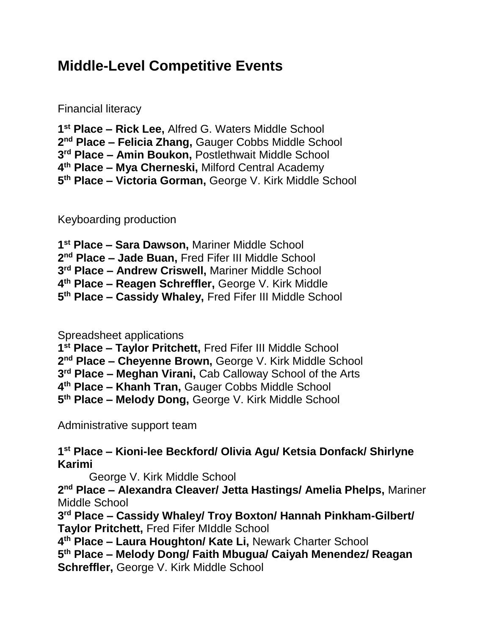## **Middle-Level Competitive Events**

Financial literacy

 **st Place – Rick Lee,** Alfred G. Waters Middle School **nd Place – Felicia Zhang,** Gauger Cobbs Middle School **rd Place – Amin Boukon,** Postlethwait Middle School **th Place – Mya Cherneski,** Milford Central Academy **th Place – Victoria Gorman,** George V. Kirk Middle School

Keyboarding production

 **st Place – Sara Dawson,** Mariner Middle School **nd Place – Jade Buan,** Fred Fifer III Middle School **rd Place – Andrew Criswell,** Mariner Middle School **th Place – Reagen Schreffler,** George V. Kirk Middle **th Place – Cassidy Whaley,** Fred Fifer III Middle School

Spreadsheet applications

**st Place – Taylor Pritchett,** Fred Fifer III Middle School

**nd Place – Cheyenne Brown,** George V. Kirk Middle School

**rd Place – Meghan Virani,** Cab Calloway School of the Arts

**th Place – Khanh Tran,** Gauger Cobbs Middle School

**th Place – Melody Dong,** George V. Kirk Middle School

Administrative support team

 **st Place – Kioni-lee Beckford/ Olivia Agu/ Ketsia Donfack/ Shirlyne Karimi** 

George V. Kirk Middle School

 **nd Place – Alexandra Cleaver/ Jetta Hastings/ Amelia Phelps,** Mariner Middle School

 **rd Place – Cassidy Whaley/ Troy Boxton/ Hannah Pinkham-Gilbert/ Taylor Pritchett,** Fred Fifer MIddle School

**th Place – Laura Houghton/ Kate Li,** Newark Charter School

 **th Place – Melody Dong/ Faith Mbugua/ Caiyah Menendez/ Reagan Schreffler,** George V. Kirk Middle School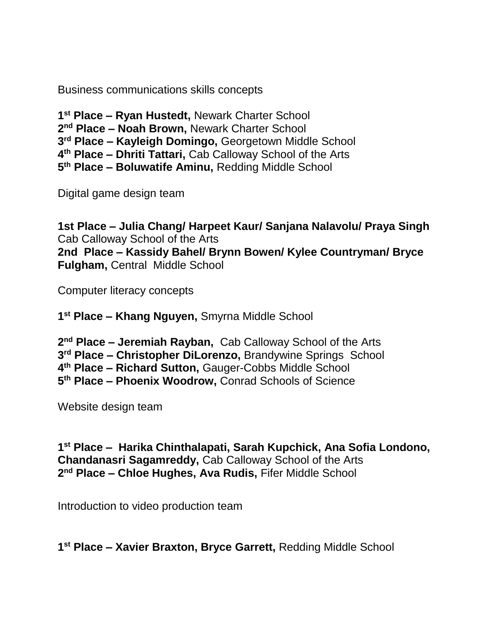Business communications skills concepts

 **st Place – Ryan Hustedt,** Newark Charter School **nd Place – Noah Brown,** Newark Charter School **rd Place – Kayleigh Domingo,** Georgetown Middle School **th Place – Dhriti Tattari,** Cab Calloway School of the Arts **th Place – Boluwatife Aminu,** Redding Middle School

Digital game design team

**1st Place – Julia Chang/ Harpeet Kaur/ Sanjana Nalavolu/ Praya Singh** Cab Calloway School of the Arts **2nd Place – Kassidy Bahel/ Brynn Bowen/ Kylee Countryman/ Bryce Fulgham,** Central Middle School

Computer literacy concepts

**1 st Place – Khang Nguyen,** Smyrna Middle School

 **nd Place – Jeremiah Rayban,** Cab Calloway School of the Arts **rd Place – Christopher DiLorenzo,** Brandywine Springs School **th Place – Richard Sutton,** Gauger-Cobbs Middle School **th Place – Phoenix Woodrow,** Conrad Schools of Science

Website design team

**1 st Place – Harika Chinthalapati, Sarah Kupchick, Ana Sofia Londono, Chandanasri Sagamreddy,** Cab Calloway School of the Arts **2 nd Place – Chloe Hughes, Ava Rudis,** Fifer Middle School

Introduction to video production team

**1 st Place – Xavier Braxton, Bryce Garrett,** Redding Middle School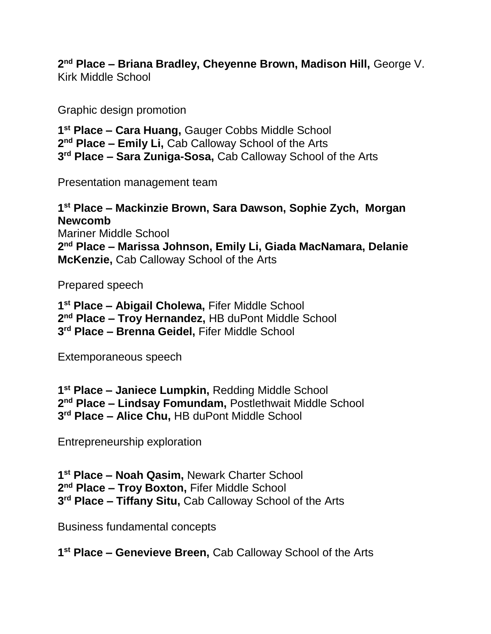**nd Place – Briana Bradley, Cheyenne Brown, Madison Hill,** George V. Kirk Middle School

Graphic design promotion

 **st Place – Cara Huang,** Gauger Cobbs Middle School **nd Place – Emily Li,** Cab Calloway School of the Arts **rd Place – Sara Zuniga-Sosa,** Cab Calloway School of the Arts

Presentation management team

 **st Place – Mackinzie Brown, Sara Dawson, Sophie Zych, Morgan Newcomb** Mariner Middle School **nd Place – Marissa Johnson, Emily Li, Giada MacNamara, Delanie McKenzie,** Cab Calloway School of the Arts

Prepared speech

 **st Place – Abigail Cholewa,** Fifer Middle School **nd Place – Troy Hernandez,** HB duPont Middle School **rd Place – Brenna Geidel,** Fifer Middle School

Extemporaneous speech

 **st Place – Janiece Lumpkin,** Redding Middle School **nd Place – Lindsay Fomundam,** Postlethwait Middle School **rd Place – Alice Chu,** HB duPont Middle School

Entrepreneurship exploration

 **st Place – Noah Qasim,** Newark Charter School **nd Place – Troy Boxton,** Fifer Middle School **rd Place – Tiffany Situ,** Cab Calloway School of the Arts

Business fundamental concepts

**st Place – Genevieve Breen,** Cab Calloway School of the Arts